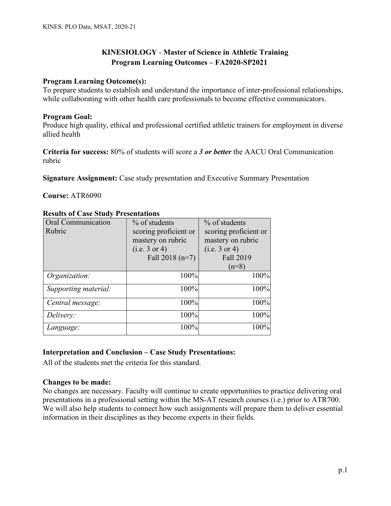# **KINESIOLOGY** - **Master of Science in Athletic Training Program Learning Outcomes – FA2020-SP2021**

## **Program Learning Outcome(s):**

To prepare students to establish and understand the importance of inter-professional relationships, while collaborating with other health care professionals to become effective communicators.

## **Program Goal:**

Produce high quality, ethical and professional certified athletic trainers for employment in diverse allied health

**Criteria for success:** 80% of students will score a *3 or better* the AACU Oral Communication rubric

**Signature Assignment:** Case study presentation and Executive Summary Presentation

## **Course:** ATR6090

| Oral Communication<br>Rubric | % of students<br>scoring proficient or | $%$ of students<br>scoring proficient or |
|------------------------------|----------------------------------------|------------------------------------------|
|                              | mastery on rubric                      | mastery on rubric                        |
|                              | (i.e. 3 or 4)                          | (i.e. 3 or 4)                            |
|                              | Fall $2018(n=7)$                       | Fall 2019                                |
|                              |                                        | $(n=8)$                                  |
| Organization:                | 100%                                   | 100%                                     |
| Supporting material:         | 100%                                   | 100%                                     |
| Central message:             | 100%                                   | 100%                                     |
| Delivery:                    | 100%                                   | 100%                                     |
| Language:                    | 100%                                   | 100%                                     |

## **Results of Case Study Presentations**

## **Interpretation and Conclusion – Case Study Presentations:**

All of the students met the criteria for this standard.

## **Changes to be made:**

No changes are necessary. Faculty will continue to create opportunities to practice delivering oral presentations in a professional setting within the MS-AT research courses (i.e.) prior to ATR700. We will also help students to connect how such assignments will prepare them to deliver essential information in their disciplines as they become experts in their fields.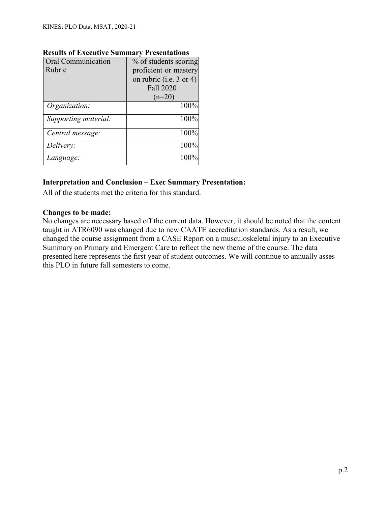| <b>Oral Communication</b><br>% of students scoring |                           |
|----------------------------------------------------|---------------------------|
| Rubric                                             | proficient or mastery     |
|                                                    | on rubric (i.e. $3$ or 4) |
|                                                    | <b>Fall 2020</b>          |
|                                                    | $(n=20)$                  |
| Organization:                                      | 100%                      |
| Supporting material:                               | 100%                      |
| Central message:                                   | 100%                      |
| Delivery:                                          | 100%                      |
| Language:                                          | 100%                      |

## **Results of Executive Summary Presentations**

## **Interpretation and Conclusion – Exec Summary Presentation:**

All of the students met the criteria for this standard.

#### **Changes to be made:**

No changes are necessary based off the current data. However, it should be noted that the content taught in ATR6090 was changed due to new CAATE accreditation standards. As a result, we changed the course assignment from a CASE Report on a musculoskeletal injury to an Executive Summary on Primary and Emergent Care to reflect the new theme of the course. The data presented here represents the first year of student outcomes. We will continue to annually asses this PLO in future fall semesters to come.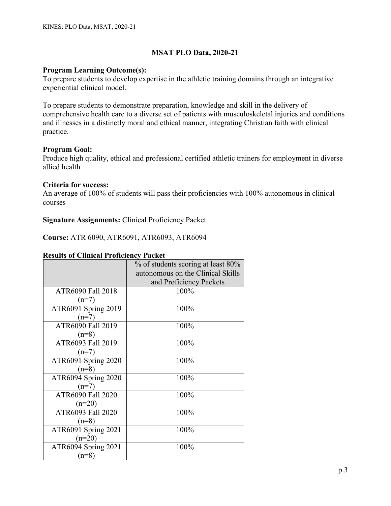## **Program Learning Outcome(s):**

To prepare students to develop expertise in the athletic training domains through an integrative experiential clinical model.

To prepare students to demonstrate preparation, knowledge and skill in the delivery of comprehensive health care to a diverse set of patients with musculoskeletal injuries and conditions and illnesses in a distinctly moral and ethical manner, integrating Christian faith with clinical practice.

## **Program Goal:**

Produce high quality, ethical and professional certified athletic trainers for employment in diverse allied health

#### **Criteria for success:**

An average of 100% of students will pass their proficiencies with 100% autonomous in clinical courses

## **Signature Assignments:** Clinical Proficiency Packet

**Course:** ATR 6090, ATR6091, ATR6093, ATR6094

|  |  |  | <b>Results of Clinical Proficiency Packet</b> |  |
|--|--|--|-----------------------------------------------|--|
|--|--|--|-----------------------------------------------|--|

|                     | % of students scoring at least 80% |
|---------------------|------------------------------------|
|                     | autonomous on the Clinical Skills  |
|                     | and Proficiency Packets            |
| ATR6090 Fall 2018   | 100%                               |
| $(n=7)$             |                                    |
| ATR6091 Spring 2019 | 100%                               |
| $(n=7)$             |                                    |
| ATR6090 Fall 2019   | 100%                               |
| $(n=8)$             |                                    |
| ATR6093 Fall 2019   | 100%                               |
| $(n=7)$             |                                    |
| ATR6091 Spring 2020 | 100%                               |
| $(n=8)$             |                                    |
| ATR6094 Spring 2020 | 100%                               |
| $(n=7)$             |                                    |
| ATR6090 Fall 2020   | 100%                               |
| $(n=20)$            |                                    |
| ATR6093 Fall 2020   | 100%                               |
| $(n=8)$             |                                    |
| ATR6091 Spring 2021 | 100%                               |
| $(n=20)$            |                                    |
| ATR6094 Spring 2021 | 100%                               |
| $(n=8)$             |                                    |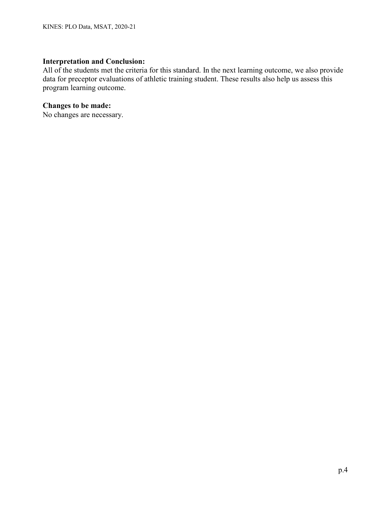## **Interpretation and Conclusion:**

All of the students met the criteria for this standard. In the next learning outcome, we also provide data for preceptor evaluations of athletic training student. These results also help us assess this program learning outcome.

## **Changes to be made:**

No changes are necessary.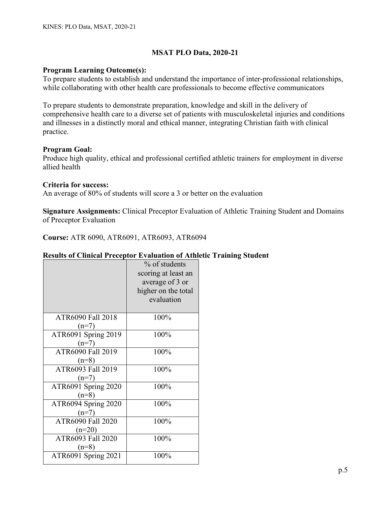## **Program Learning Outcome(s):**

To prepare students to establish and understand the importance of inter-professional relationships, while collaborating with other health care professionals to become effective communicators

To prepare students to demonstrate preparation, knowledge and skill in the delivery of comprehensive health care to a diverse set of patients with musculoskeletal injuries and conditions and illnesses in a distinctly moral and ethical manner, integrating Christian faith with clinical practice.

## **Program Goal:**

Produce high quality, ethical and professional certified athletic trainers for employment in diverse allied health

#### **Criteria for success:**

An average of 80% of students will score a 3 or better on the evaluation

**Signature Assignments:** Clinical Preceptor Evaluation of Athletic Training Student and Domains of Preceptor Evaluation

**Course:** ATR 6090, ATR6091, ATR6093, ATR6094

## **Results of Clinical Preceptor Evaluation of Athletic Training Student**

|                     | % of students       |
|---------------------|---------------------|
|                     | scoring at least an |
|                     | average of 3 or     |
|                     | higher on the total |
|                     | evaluation          |
|                     |                     |
| ATR6090 Fall 2018   | 100%                |
| $(n=7)$             |                     |
| ATR6091 Spring 2019 | 100%                |
| $(n=7)$             |                     |
| ATR6090 Fall 2019   | 100%                |
| $(n=8)$             |                     |
| ATR6093 Fall 2019   | 100%                |
| $(n=7)$             |                     |
| ATR6091 Spring 2020 | 100%                |
| $(n=8)$             |                     |
| ATR6094 Spring 2020 | 100%                |
| $(n=7)$             |                     |
| ATR6090 Fall 2020   | 100%                |
| $(n=20)$            |                     |
| ATR6093 Fall 2020   | 100%                |
| $(n=8)$             |                     |
| ATR6091 Spring 2021 | 100%                |
|                     |                     |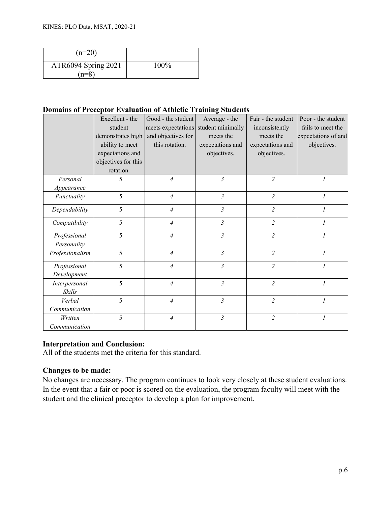| $(n=20)$            |         |
|---------------------|---------|
| ATR6094 Spring 2021 | $100\%$ |
| $(n=8)$             |         |

## **Domains of Preceptor Evaluation of Athletic Training Students**

|                 | Excellent - the     | Good - the student | Average - the                        | Fair - the student | Poor - the student  |
|-----------------|---------------------|--------------------|--------------------------------------|--------------------|---------------------|
|                 | student             |                    | meets expectations student minimally | inconsistently     | fails to meet the   |
|                 | demonstrates high   | and objectives for | meets the                            | meets the          | expectations of and |
|                 | ability to meet     | this rotation.     | expectations and                     | expectations and   | objectives.         |
|                 | expectations and    |                    | objectives.                          | objectives.        |                     |
|                 | objectives for this |                    |                                      |                    |                     |
|                 | rotation.           |                    |                                      |                    |                     |
| Personal        | 5                   | $\overline{A}$     | 3                                    | $\overline{2}$     | $\mathcal{I}$       |
| Appearance      |                     |                    |                                      |                    |                     |
| Punctuality     | 5                   | $\overline{4}$     | 3                                    | $\overline{2}$     | $\mathcal{I}$       |
| Dependability   | 5                   | 4                  | $\mathfrak{Z}$                       | $\overline{2}$     |                     |
| Compatibility   | 5                   | $\overline{A}$     | 3                                    | $\overline{2}$     | $\mathcal I$        |
| Professional    | 5                   | $\overline{4}$     | $\mathfrak{Z}$                       | $\overline{2}$     | $\overline{I}$      |
| Personality     |                     |                    |                                      |                    |                     |
| Professionalism | 5                   | $\overline{4}$     | $\mathfrak{Z}$                       | $\overline{2}$     | $\mathcal{I}$       |
| Professional    | 5                   | $\overline{A}$     | 3                                    | $\overline{2}$     | $\mathcal{I}$       |
| Development     |                     |                    |                                      |                    |                     |
| Interpersonal   | 5                   | $\overline{4}$     | $\mathfrak{Z}$                       | $\overline{2}$     | $\overline{I}$      |
| Skills          |                     |                    |                                      |                    |                     |
| Verbal          | 5                   | $\overline{A}$     | $\mathfrak{Z}$                       | $\overline{2}$     | $\overline{I}$      |
| Communication   |                     |                    |                                      |                    |                     |
| Written         | 5                   | $\overline{A}$     | $\mathfrak{z}$                       | $\overline{2}$     | $\mathcal{I}$       |
| Communication   |                     |                    |                                      |                    |                     |

## **Interpretation and Conclusion:**

All of the students met the criteria for this standard.

## **Changes to be made:**

No changes are necessary. The program continues to look very closely at these student evaluations. In the event that a fair or poor is scored on the evaluation, the program faculty will meet with the student and the clinical preceptor to develop a plan for improvement.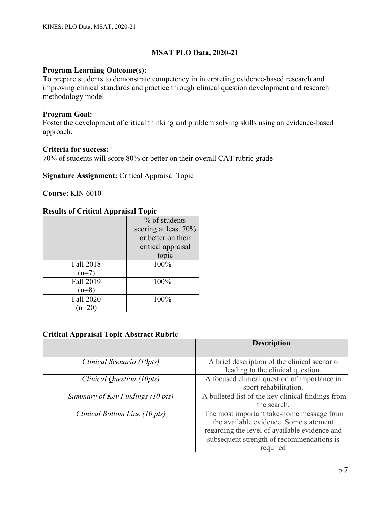## **Program Learning Outcome(s):**

To prepare students to demonstrate competency in interpreting evidence-based research and improving clinical standards and practice through clinical question development and research methodology model

## **Program Goal:**

Foster the development of critical thinking and problem solving skills using an evidence-based approach.

## **Criteria for success:**

70% of students will score 80% or better on their overall CAT rubric grade

## **Signature Assignment:** Critical Appraisal Topic

**Course:** KIN 6010

# **Results of Critical Appraisal Topic**

|           | % of students        |
|-----------|----------------------|
|           | scoring at least 70% |
|           | or better on their   |
|           | critical appraisal   |
|           | topic                |
| Fall 2018 | 100%                 |
| $(n=7)$   |                      |
| Fall 2019 | 100%                 |
| $(n=8)$   |                      |
| Fall 2020 | 100%                 |
|           |                      |

## **Critical Appraisal Topic Abstract Rubric**

|                                  | <b>Description</b>                                                                                                                                                                            |
|----------------------------------|-----------------------------------------------------------------------------------------------------------------------------------------------------------------------------------------------|
| Clinical Scenario (10pts)        | A brief description of the clinical scenario<br>leading to the clinical question.                                                                                                             |
| Clinical Question (10pts)        | A focused clinical question of importance in<br>sport rehabilitation.                                                                                                                         |
| Summary of Key Findings (10 pts) | A bulleted list of the key clinical findings from<br>the search.                                                                                                                              |
| Clinical Bottom Line (10 pts)    | The most important take-home message from<br>the available evidence. Some statement<br>regarding the level of available evidence and<br>subsequent strength of recommendations is<br>required |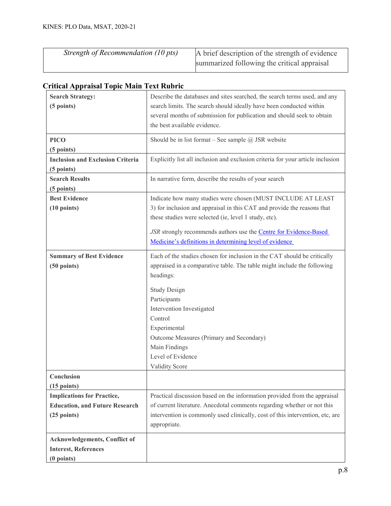| Strength of Recommendation (10 pts) | A brief description of the strength of evidence |
|-------------------------------------|-------------------------------------------------|
|                                     | summarized following the critical appraisal     |

| <b>Search Strategy:</b><br>(5 points)                                                       | Describe the databases and sites searched, the search terms used, and any<br>search limits. The search should ideally have been conducted within<br>several months of submission for publication and should seek to obtain<br>the best available evidence.                                                                                        |
|---------------------------------------------------------------------------------------------|---------------------------------------------------------------------------------------------------------------------------------------------------------------------------------------------------------------------------------------------------------------------------------------------------------------------------------------------------|
| <b>PICO</b><br>(5 points)                                                                   | Should be in list format – See sample $@$ JSR website                                                                                                                                                                                                                                                                                             |
| <b>Inclusion and Exclusion Criteria</b><br>(5 points)                                       | Explicitly list all inclusion and exclusion criteria for your article inclusion                                                                                                                                                                                                                                                                   |
| <b>Search Results</b><br>(5 points)                                                         | In narrative form, describe the results of your search                                                                                                                                                                                                                                                                                            |
| <b>Best Evidence</b><br>$(10 \text{ points})$                                               | Indicate how many studies were chosen (MUST INCLUDE AT LEAST<br>3) for inclusion and appraisal in this CAT and provide the reasons that<br>these studies were selected (ie, level 1 study, etc).<br>JSR strongly recommends authors use the Centre for Evidence-Based<br>Medicine's definitions in determining level of evidence                  |
| <b>Summary of Best Evidence</b><br>$(50$ points)                                            | Each of the studies chosen for inclusion in the CAT should be critically<br>appraised in a comparative table. The table might include the following<br>headings:<br><b>Study Design</b><br>Participants<br>Intervention Investigated<br>Control<br>Experimental<br>Outcome Measures (Primary and Secondary)<br>Main Findings<br>Level of Evidence |
| Conclusion<br>$(15$ points)                                                                 | Validity Score                                                                                                                                                                                                                                                                                                                                    |
| <b>Implications for Practice,</b><br><b>Education, and Future Research</b><br>$(25$ points) | Practical discussion based on the information provided from the appraisal<br>of current literature. Anecdotal comments regarding whether or not this<br>intervention is commonly used clinically, cost of this intervention, etc, are<br>appropriate.                                                                                             |
| <b>Acknowledgements, Conflict of</b><br><b>Interest, References</b><br>$(0$ points)         |                                                                                                                                                                                                                                                                                                                                                   |

# **Critical Appraisal Topic Main Text Rubric**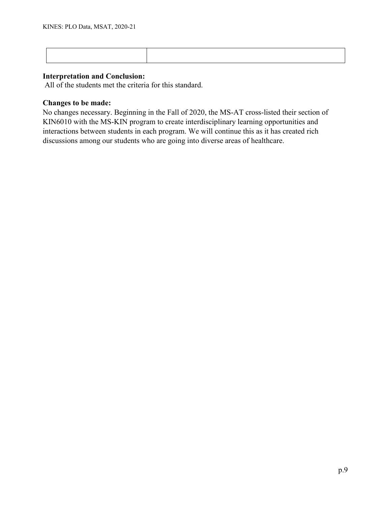## **Interpretation and Conclusion:**

All of the students met the criteria for this standard.

# **Changes to be made:**

No changes necessary. Beginning in the Fall of 2020, the MS-AT cross-listed their section of KIN6010 with the MS-KIN program to create interdisciplinary learning opportunities and interactions between students in each program. We will continue this as it has created rich discussions among our students who are going into diverse areas of healthcare.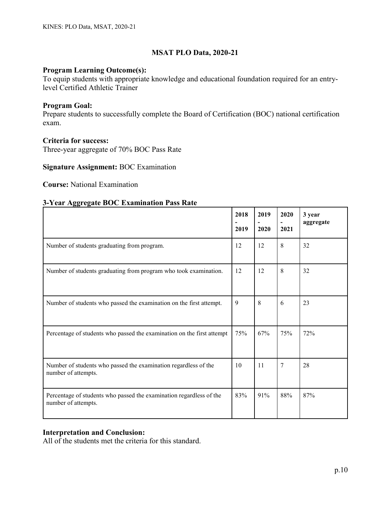## **Program Learning Outcome(s):**

To equip students with appropriate knowledge and educational foundation required for an entrylevel Certified Athletic Trainer

#### **Program Goal:**

Prepare students to successfully complete the Board of Certification (BOC) national certification exam.

### **Criteria for success:**

Three-year aggregate of 70% BOC Pass Rate

#### **Signature Assignment:** BOC Examination

**Course:** National Examination

#### **3-Year Aggregate BOC Examination Pass Rate**

|                                                                                            | 2018<br>2019 | 2019<br>2020 | 2020<br>2021 | 3 year<br>aggregate |
|--------------------------------------------------------------------------------------------|--------------|--------------|--------------|---------------------|
| Number of students graduating from program.                                                | 12           | 12           | 8            | 32                  |
| Number of students graduating from program who took examination.                           | 12           | 12           | 8            | 32                  |
| Number of students who passed the examination on the first attempt.                        | 9            | 8            | 6            | 23                  |
| Percentage of students who passed the examination on the first attempt                     | 75%          | 67%          | 75%          | 72%                 |
| Number of students who passed the examination regardless of the<br>number of attempts.     | 10           | 11           | 7            | 28                  |
| Percentage of students who passed the examination regardless of the<br>number of attempts. | 83%          | 91%          | 88%          | 87%                 |

## **Interpretation and Conclusion:**

All of the students met the criteria for this standard.